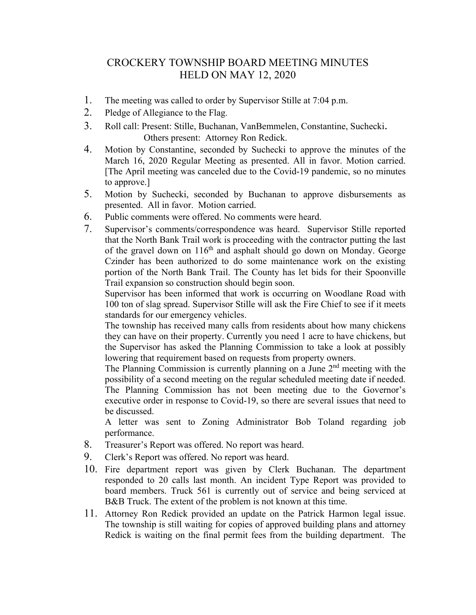## CROCKERY TOWNSHIP BOARD MEETING MINUTES HELD ON MAY 12, 2020

- 1. The meeting was called to order by Supervisor Stille at 7:04 p.m.
- 2. Pledge of Allegiance to the Flag.
- 3. Roll call: Present: Stille, Buchanan, VanBemmelen, Constantine, Suchecki. Others present: Attorney Ron Redick.
- 4. Motion by Constantine, seconded by Suchecki to approve the minutes of the March 16, 2020 Regular Meeting as presented. All in favor. Motion carried. [The April meeting was canceled due to the Covid-19 pandemic, so no minutes to approve.]
- 5. Motion by Suchecki, seconded by Buchanan to approve disbursements as presented. All in favor. Motion carried.
- 6. Public comments were offered. No comments were heard.
- 7. Supervisor's comments/correspondence was heard. Supervisor Stille reported that the North Bank Trail work is proceeding with the contractor putting the last of the gravel down on 116<sup>th</sup> and asphalt should go down on Monday. George Czinder has been authorized to do some maintenance work on the existing portion of the North Bank Trail. The County has let bids for their Spoonville Trail expansion so construction should begin soon.

Supervisor has been informed that work is occurring on Woodlane Road with 100 ton of slag spread. Supervisor Stille will ask the Fire Chief to see if it meets standards for our emergency vehicles.

The township has received many calls from residents about how many chickens they can have on their property. Currently you need 1 acre to have chickens, but the Supervisor has asked the Planning Commission to take a look at possibly lowering that requirement based on requests from property owners.

The Planning Commission is currently planning on a June  $2<sup>nd</sup>$  meeting with the possibility of a second meeting on the regular scheduled meeting date if needed. The Planning Commission has not been meeting due to the Governor's executive order in response to Covid-19, so there are several issues that need to be discussed.

A letter was sent to Zoning Administrator Bob Toland regarding job performance.

- 8. Treasurer's Report was offered. No report was heard.
- 9. Clerk's Report was offered. No report was heard.
- 10. Fire department report was given by Clerk Buchanan. The department responded to 20 calls last month. An incident Type Report was provided to board members. Truck 561 is currently out of service and being serviced at B&B Truck. The extent of the problem is not known at this time.
- 11. Attorney Ron Redick provided an update on the Patrick Harmon legal issue. The township is still waiting for copies of approved building plans and attorney Redick is waiting on the final permit fees from the building department. The